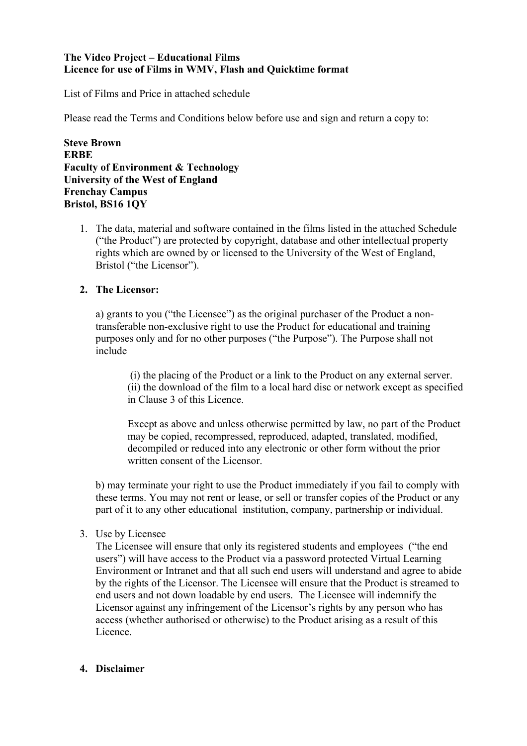## **The Video Project – Educational Films Licence for use of Films in WMV, Flash and Quicktime format**

List of Films and Price in attached schedule

Please read the Terms and Conditions below before use and sign and return a copy to:

**Steve Brown ERBE Faculty of Environment & Technology University of the West of England Frenchay Campus Bristol, BS16 1QY**

1. The data, material and software contained in the films listed in the attached Schedule ("the Product") are protected by copyright, database and other intellectual property rights which are owned by or licensed to the University of the West of England, Bristol ("the Licensor").

## **2. The Licensor:**

a) grants to you ("the Licensee") as the original purchaser of the Product a nontransferable non-exclusive right to use the Product for educational and training purposes only and for no other purposes ("the Purpose"). The Purpose shall not include

(i) the placing of the Product or a link to the Product on any external server. (ii) the download of the film to a local hard disc or network except as specified in Clause 3 of this Licence.

Except as above and unless otherwise permitted by law, no part of the Product may be copied, recompressed, reproduced, adapted, translated, modified, decompiled or reduced into any electronic or other form without the prior written consent of the Licensor.

b) may terminate your right to use the Product immediately if you fail to comply with these terms. You may not rent or lease, or sell or transfer copies of the Product or any part of it to any other educational institution, company, partnership or individual.

3. Use by Licensee

The Licensee will ensure that only its registered students and employees ("the end users") will have access to the Product via a password protected Virtual Learning Environment or Intranet and that all such end users will understand and agree to abide by the rights of the Licensor. The Licensee will ensure that the Product is streamed to end users and not down loadable by end users. The Licensee will indemnify the Licensor against any infringement of the Licensor's rights by any person who has access (whether authorised or otherwise) to the Product arising as a result of this **Licence** 

## **4. Disclaimer**